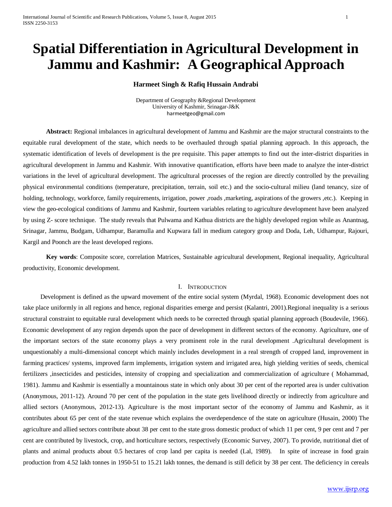# **Spatial Differentiation in Agricultural Development in Jammu and Kashmir: A Geographical Approach**

## **Harmeet Singh & Rafiq Hussain Andrabi**

Department of Geography &Regional Development University of Kashmir, Srinagar-J&K [harmeetgeo@gmail.com](mailto:harmeetgeo@gmail.com)

**Abstract:** Regional imbalances in agricultural development of Jammu and Kashmir are the major structural constraints to the equitable rural development of the state, which needs to be overhauled through spatial planning approach. In this approach, the systematic identification of levels of development is the pre requisite. This paper attempts to find out the inter-district disparities in agricultural development in Jammu and Kashmir. With innovative quantification, efforts have been made to analyze the inter-district variations in the level of agricultural development. The agricultural processes of the region are directly controlled by the prevailing physical environmental conditions (temperature, precipitation, terrain, soil etc.) and the socio-cultural milieu (land tenancy, size of holding, technology, workforce, family requirements, irrigation, power ,roads ,marketing, aspirations of the growers ,etc.). Keeping in view the geo-ecological conditions of Jammu and Kashmir, fourteen variables relating to agriculture development have been analyzed by using Z- score technique. The study reveals that Pulwama and Kathua districts are the highly developed region while as Anantnag, Srinagar, Jammu, Budgam, Udhampur, Baramulla and Kupwara fall in medium category group and Doda, Leh, Udhampur, Rajouri, Kargil and Poonch are the least developed regions.

**Key words**: Composite score, correlation Matrices, Sustainable agricultural development, Regional inequality, Agricultural productivity, Economic development.

## I. INTRODUCTION

Development is defined as the upward movement of the entire social system (Myrdal, 1968). Economic development does not take place uniformly in all regions and hence, regional disparities emerge and persist (Kalantri, 2001).Regional inequality is a serious structural constraint to equitable rural development which needs to be corrected through spatial planning approach (Boudevile, 1966). Economic development of any region depends upon the pace of development in different sectors of the economy. Agriculture, one of the important sectors of the state economy plays a very prominent role in the rural development .Agricultural development is unquestionably a multi-dimensional concept which mainly includes development in a real strength of cropped land, improvement in farming practices/ systems, improved farm implements, irrigation system and irrigated area, high yielding verities of seeds, chemical fertilizers ,insecticides and pesticides, intensity of cropping and specialization and commercialization of agriculture (Mohammad, 1981). Jammu and Kashmir is essentially a mountainous state in which only about 30 per cent of the reported area is under cultivation (Anonymous, 2011-12). Around 70 per cent of the population in the state gets livelihood directly or indirectly from agriculture and allied sectors (Anonymous, 2012-13). Agriculture is the most important sector of the economy of Jammu and Kashmir, as it contributes about 65 per cent of the state revenue which explains the overdependence of the state on agriculture (Husain, 2000) The agriculture and allied sectors contribute about 38 per cent to the state gross domestic product of which 11 per cent, 9 per cent and 7 per cent are contributed by livestock, crop, and horticulture sectors, respectively (Economic Survey, 2007). To provide, nutritional diet of plants and animal products about 0.5 hectares of crop land per capita is needed (Lal, 1989). In spite of increase in food grain production from 4.52 lakh tonnes in 1950-51 to 15.21 lakh tonnes, the demand is still deficit by 38 per cent. The deficiency in cereals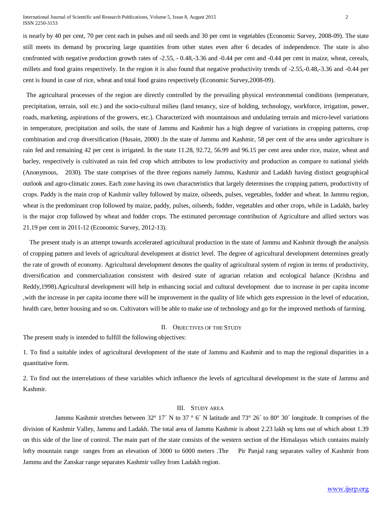is nearly by 40 per cent, 70 per cent each in pulses and oil seeds and 30 per cent in vegetables (Economic Survey, 2008-09). The state still meets its demand by procuring large quantities from other states even after 6 decades of independence. The state is also confronted with negative production growth rates of -2.55, - 0.48,-3.36 and -0.44 per cent and -0.44 per cent in maize, wheat, cereals, millets and food grains respectively. In the region it is also found that negative productivity trends of -2.55,-0.48,-3.36 and -0.44 per cent is found in case of rice, wheat and total food grains respectively (Economic Survey,2008-09).

 The agricultural processes of the region are directly controlled by the prevailing physical environmental conditions (temperature, precipitation, terrain, soil etc.) and the socio-cultural milieu (land tenancy, size of holding, technology, workforce, irrigation, power, roads, marketing, aspirations of the growers, etc.). Characterized with mountainous and undulating terrain and micro-level variations in temperature, precipitation and soils, the state of Jammu and Kashmir has a high degree of variations in cropping patterns, crop combination and crop diversification (Husain, 2000) .In the state of Jammu and Kashmir, 58 per cent of the area under agriculture is rain fed and remaining 42 per cent is irrigated. In the state 11.28, 92.72, 56.99 and 96.15 per cent area under rice, maize, wheat and barley, respectively is cultivated as rain fed crop which attributes to low productivity and production as compare to national yields (Anonymous, 2030). The state comprises of the three regions namely Jammu, Kashmir and Ladakh having distinct geographical outlook and agro-climatic zones. Each zone having its own characteristics that largely determines the cropping pattern, productivity of crops. Paddy is the main crop of Kashmir valley followed by maize, oilseeds, pulses, vegetables, fodder and wheat. In Jammu region, wheat is the predominant crop followed by maize, paddy, pulses, oilseeds, fodder, vegetables and other crops, while in Ladakh, barley is the major crop followed by wheat and fodder crops. The estimated percentage contribution of Agriculture and allied sectors was 21.19 per cent in 2011-12 (Economic Survey, 2012-13).

 The present study is an attempt towards accelerated agricultural production in the state of Jammu and Kashmir through the analysis of cropping pattern and levels of agricultural development at district level. The degree of agricultural development determines greatly the rate of growth of economy. Agricultural development denotes the quality of agricultural system of region in terms of productivity, diversification and commercialization consistent with desired state of agrarian relation and ecological balance (Krishna and Reddy,1998).Agricultural development will help in enhancing social and cultural development due to increase in per capita income ,with the increase in per capita income there will be improvement in the quality of life which gets expression in the level of education, health care, better housing and so on. Cultivators will be able to make use of technology and go for the improved methods of farming.

## II. OBJECTIVES OF THE STUDY

The present study is intended to fulfill the following objectives:

1. To find a suitable index of agricultural development of the state of Jammu and Kashmir and to map the regional disparities in a quantitative form.

2. To find out the interrelations of these variables which influence the levels of agricultural development in the state of Jammu and Kashmir.

# III. STUDY AREA

Jammu Kashmir stretches between 32° 17′ N to 37 ° 6′ N latitude and 73° 26′ to 80° 30′ longitude. It comprises of the division of Kashmir Valley, Jammu and Ladakh. The total area of Jammu Kashmir is about 2.23 lakh sq kms out of which about 1.39 on this side of the line of control. The main part of the state consists of the western section of the Himalayas which contains mainly lofty mountain range ranges from an elevation of 3000 to 6000 meters .The Pir Panjal rang separates valley of Kashmir from Jammu and the Zanskar range separates Kashmir valley from Ladakh region.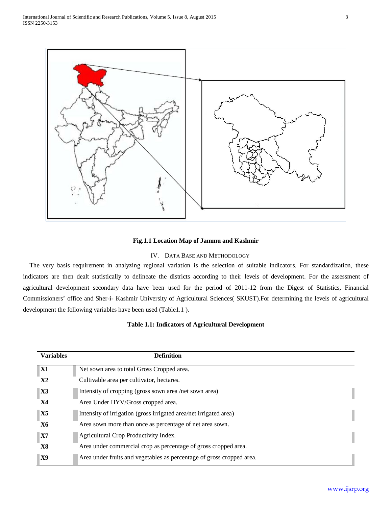

## **Fig.1.1 Location Map of Jammu and Kashmir**

## IV. DATA BASE AND METHODOLOGY

 The very basis requirement in analyzing regional variation is the selection of suitable indicators. For standardization, these indicators are then dealt statistically to delineate the districts according to their levels of development. For the assessment of agricultural development secondary data have been used for the period of 2011-12 from the Digest of Statistics, Financial Commissioners' office and Sher-i- Kashmir University of Agricultural Sciences( SKUST).For determining the levels of agricultural development the following variables have been used (Table1.1 ).

# **Table 1.1: Indicators of Agricultural Development**

| <b>Variables</b> | <b>Definition</b>                                                     |
|------------------|-----------------------------------------------------------------------|
| <b>X1</b>        | Net sown area to total Gross Cropped area.                            |
| X2               | Cultivable area per cultivator, hectares.                             |
| $\mathbf{X}$ 3   | Intensity of cropping (gross sown area /net sown area)                |
| Х4               | Area Under HYV/Gross cropped area.                                    |
| <b>X5</b>        | Intensity of irrigation (gross irrigated area/net irrigated area)     |
| Х6               | Area sown more than once as percentage of net area sown.              |
| <b>X7</b>        | Agricultural Crop Productivity Index.                                 |
| X8               | Area under commercial crop as percentage of gross cropped area.       |
| X9               | Area under fruits and vegetables as percentage of gross cropped area. |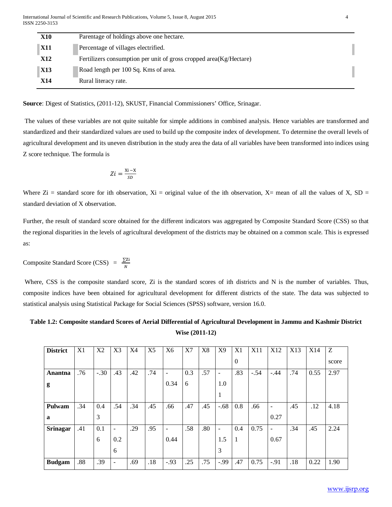| X10        | Parentage of holdings above one hectare.                            |  |
|------------|---------------------------------------------------------------------|--|
| <b>X11</b> | Percentage of villages electrified.                                 |  |
| <b>X12</b> | Fertilizers consumption per unit of gross cropped area (Kg/Hectare) |  |
| <b>X13</b> | Road length per 100 Sq. Kms of area.                                |  |
| X14        | Rural literacy rate.                                                |  |

**Source**: Digest of Statistics, (2011-12), SKUST, Financial Commissioners' Office, Srinagar.

The values of these variables are not quite suitable for simple additions in combined analysis. Hence variables are transformed and standardized and their standardized values are used to build up the composite index of development. To determine the overall levels of agricultural development and its uneven distribution in the study area the data of all variables have been transformed into indices using Z score technique. The formula is

$$
Zi = \frac{Xi - X}{SD}
$$

Where  $\rm{Zi}$  = standard score for ith observation,  $\rm{Xi}$  = original value of the ith observation,  $\rm{X}$ = mean of all the values of X, SD = standard deviation of X observation.

Further, the result of standard score obtained for the different indicators was aggregated by Composite Standard Score (CSS) so that the regional disparities in the levels of agricultural development of the districts may be obtained on a common scale. This is expressed as:

Composite Standard Score (CSS) =  $\frac{\sum Z_i}{N}$ 

Where, CSS is the composite standard score, Zi is the standard scores of ith districts and N is the number of variables. Thus, composite indices have been obtained for agricultural development for different districts of the state. The data was subjected to statistical analysis using Statistical Package for Social Sciences (SPSS) software, version 16.0.

# **Table 1.2: Composite standard Scores of Aerial Differential of Agricultural Development in Jammu and Kashmir District Wise (2011-12)**

| <b>District</b> | X1  | X2     | X3                       | X4  | X <sub>5</sub> | X6                       | X7  | X8  | X <sub>9</sub>    | X1           | X11    | X12    | X13 | X14  | Z     |
|-----------------|-----|--------|--------------------------|-----|----------------|--------------------------|-----|-----|-------------------|--------------|--------|--------|-----|------|-------|
|                 |     |        |                          |     |                |                          |     |     |                   | $\mathbf{0}$ |        |        |     |      | score |
| Anantna         | .76 | $-.30$ | .43                      | .42 | .74            | $\overline{\phantom{a}}$ | 0.3 | .57 | $\qquad \qquad -$ | .83          | $-.54$ | $-.44$ | .74 | 0.55 | 2.97  |
| g               |     |        |                          |     |                | 0.34                     | 6   |     | 1.0               |              |        |        |     |      |       |
|                 |     |        |                          |     |                |                          |     |     |                   |              |        |        |     |      |       |
| Pulwam          | .34 | 0.4    | .54                      | .34 | .45            | .66                      | .47 | .45 | $-.68$            | 0.8          | .66    | ٠      | .45 | .12  | 4.18  |
| a               |     | 3      |                          |     |                |                          |     |     |                   |              |        | 0.27   |     |      |       |
| <b>Srinagar</b> | .41 | 0.1    | $\overline{\phantom{a}}$ | .29 | .95            | $\overline{\phantom{a}}$ | .58 | .80 | $\blacksquare$    | 0.4          | 0.75   | -      | .34 | .45  | 2.24  |
|                 |     | 6      | 0.2                      |     |                | 0.44                     |     |     | 1.5               | 1            |        | 0.67   |     |      |       |
|                 |     |        | 6                        |     |                |                          |     |     | 3                 |              |        |        |     |      |       |
| <b>Budgam</b>   | .88 | .39    | $\overline{\phantom{a}}$ | .69 | .18            | $-.93$                   | .25 | .75 | $-.99$            | .47          | 0.75   | $-.91$ | .18 | 0.22 | 1.90  |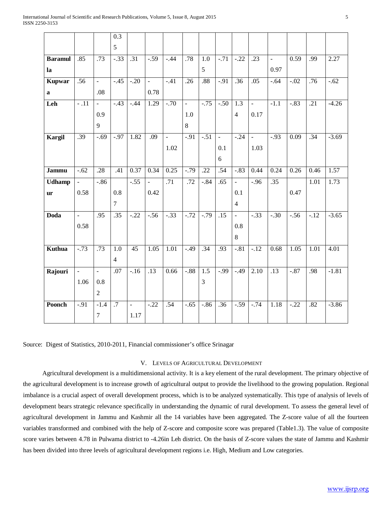|                |                           |                | 0.3              |                  |               |                          |                  |                  |                     |                          |              |                     |         |                   |         |
|----------------|---------------------------|----------------|------------------|------------------|---------------|--------------------------|------------------|------------------|---------------------|--------------------------|--------------|---------------------|---------|-------------------|---------|
|                |                           |                | 5                |                  |               |                          |                  |                  |                     |                          |              |                     |         |                   |         |
| <b>Baramul</b> | .85                       | .73            | $-33$            | $\overline{.31}$ | $-.59$        | $-0.44$                  | .78              | $\overline{1.0}$ | $-71$               | $-22$                    | .23          | $\bar{\phantom{a}}$ | 0.59    | .99               | 2.27    |
| la             |                           |                |                  |                  |               |                          |                  | 5                |                     |                          |              | 0.97                |         |                   |         |
| <b>Kupwar</b>  | .56                       | $\frac{1}{2}$  | $-.45$           | $-20$            | $\Box$        | $-.41$                   | $\overline{.26}$ | .88              | $-.91$              | $\overline{.36}$         | .05          | $-.64$              | $-0.02$ | .76               | $-0.62$ |
| $\mathbf a$    |                           | .08            |                  |                  | 0.78          |                          |                  |                  |                     |                          |              |                     |         |                   |         |
| Leh            | $-11$                     | $\mathbf{u}$   | $-43$            | $-44$            | 1.29          | $-70$                    | $\omega$         | $-0.75$          | $-0.50$             | $\overline{1.3}$         | $\Box$       | $-1.1$              | $-83$   | $\overline{.21}$  | $-4.26$ |
|                |                           | 0.9            |                  |                  |               |                          | 1.0              |                  |                     | $\overline{4}$           | 0.17         |                     |         |                   |         |
|                |                           | 9              |                  |                  |               |                          | 8                |                  |                     |                          |              |                     |         |                   |         |
| Kargil         | .39                       | $-0.69$        | $-0.97$          | 1.82             | .09           | $\overline{\phantom{a}}$ | $-91$            | $-.51$           | $\bar{\phantom{a}}$ | $-0.24$                  | $\mathbf{r}$ | $-.93$              | 0.09    | $\overline{.34}$  | $-3.69$ |
|                |                           |                |                  |                  |               | 1.02                     |                  |                  | 0.1                 |                          | 1.03         |                     |         |                   |         |
|                |                           |                |                  |                  |               |                          |                  |                  | 6                   |                          |              |                     |         |                   |         |
| Jammu          | $-.62$                    | .28            | .41              | 0.37             | 0.34          | 0.25                     | $-.79$           | .22              | .54                 | $-.83$                   | 0.44         | 0.24                | 0.26    | 0.46              | 1.57    |
| <b>Udhamp</b>  | $\mathbb{E}^{\mathbb{I}}$ | $-.86$         |                  | $-.55$           | $\frac{1}{2}$ | .71                      | .72              | $-.84$           | .65                 | $\Box$                   | $-.96$       | .35                 |         | $\overline{1.01}$ | 1.73    |
| ur             | 0.58                      |                | 0.8              |                  | 0.42          |                          |                  |                  |                     | 0.1                      |              |                     | 0.47    |                   |         |
|                |                           |                | $\overline{7}$   |                  |               |                          |                  |                  |                     | $\overline{4}$           |              |                     |         |                   |         |
| Doda           | $\blacksquare$            | .95            | .35              | $-0.22$          | $-56$         | $-33$                    | $-0.72$          | $-0.79$          | $\overline{.15}$    | $\overline{\phantom{a}}$ | $-33$        | $-0.30$             | $-56$   | $-.12$            | $-3.65$ |
|                | 0.58                      |                |                  |                  |               |                          |                  |                  |                     | 0.8                      |              |                     |         |                   |         |
|                |                           |                |                  |                  |               |                          |                  |                  |                     | 8                        |              |                     |         |                   |         |
| Kuthua         | $-0.73$                   | .73            | $\overline{1.0}$ | $\overline{45}$  | 1.05          | $\overline{1.01}$        | $-0.49$          | .34              | .93                 | $-0.81$                  | $-12$        | 0.68                | 1.05    | $\overline{1.01}$ | 4.01    |
|                |                           |                | $\overline{4}$   |                  |               |                          |                  |                  |                     |                          |              |                     |         |                   |         |
| Rajouri        | $\Box$                    | $\Box$         | .07              | $-16$            | .13           | 0.66                     | $-.88$           | $\overline{1.5}$ | $-.99$              | $-.49$                   | 2.10         | .13                 | $-.87$  | .98               | $-1.81$ |
|                | 1.06                      | 0.8            |                  |                  |               |                          |                  | 3                |                     |                          |              |                     |         |                   |         |
|                |                           | $\overline{2}$ |                  |                  |               |                          |                  |                  |                     |                          |              |                     |         |                   |         |
| Poonch         | $-.91$                    | $-1.4$         | $\overline{.7}$  | $\sim$           | $-22$         | .54                      | $-0.65$          | $-0.86$          | $\overline{.36}$    | $-0.59$                  | $-0.74$      | 1.18                | $-22$   | $\overline{.82}$  | $-3.86$ |
|                |                           | $\overline{7}$ |                  | 1.17             |               |                          |                  |                  |                     |                          |              |                     |         |                   |         |
|                |                           |                |                  |                  |               |                          |                  |                  |                     |                          |              |                     |         |                   |         |

Source: Digest of Statistics, 2010-2011, Financial commissioner's office Srinagar

## V. LEVELS OF AGRICULTURAL DEVELOPMENT

 Agricultural development is a multidimensional activity. It is a key element of the rural development. The primary objective of the agricultural development is to increase growth of agricultural output to provide the livelihood to the growing population. Regional imbalance is a crucial aspect of overall development process, which is to be analyzed systematically. This type of analysis of levels of development bears strategic relevance specifically in understanding the dynamic of rural development. To assess the general level of agricultural development in Jammu and Kashmir all the 14 variables have been aggregated. The Z-score value of all the fourteen variables transformed and combined with the help of Z-score and composite score was prepared (Table1.3). The value of composite score varies between 4.78 in Pulwama district to -4.26in Leh district. On the basis of Z-score values the state of Jammu and Kashmir has been divided into three levels of agricultural development regions i.e. High, Medium and Low categories.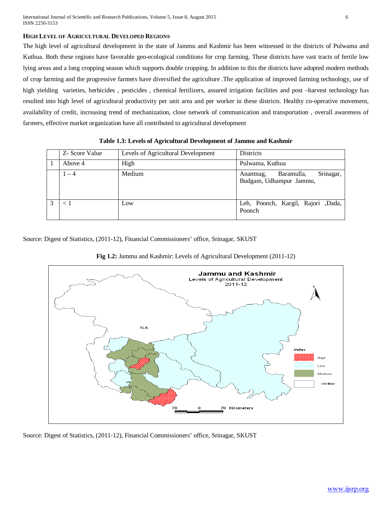## **HIGH LEVEL OF AGRICULTURAL DEVELOPED REGIONS**

The high level of agricultural development in the state of Jammu and Kashmir has been witnessed in the districts of Pulwama and Kuthua. Both these regions have favorable geo-ecological conditions for crop farming. These districts have vast tracts of fertile low lying areas and a long cropping season which supports double cropping. In addition to this the districts have adopted modern methods of crop farming and the progressive farmers have diversified the agriculture .The application of improved farming technology, use of high yielding varieties, herbicides , pesticides , chemical fertilizers, assured irrigation facilities and post –harvest technology has resulted into high level of agricultural productivity per unit area and per worker in these districts. Healthy co-operative movement, availability of credit, increasing trend of mechanization, close network of communication and transportation , overall awareness of farmers, effective market organization have all contributed to agricultural development

|   | Z- Score Value | Levels of Agricultural Development | <b>Districts</b>                                                |
|---|----------------|------------------------------------|-----------------------------------------------------------------|
|   | Above 4        | High                               | Pulwama, Kuthua                                                 |
|   | $-4$           | Medium                             | Srinagar,<br>Baramulla,<br>Anantnag,<br>Budgam, Udhampur Jammu, |
| 3 | ← 1            | Low                                | Leh, Poonch, Kargil, Rajori, Dada,<br>Poonch                    |

**Table 1.3: Levels of Agricultural Development of Jammu and Kashmir**

Source: Digest of Statistics, (2011-12), Financial Commissioners' office, Srinagar, SKUST





Source: Digest of Statistics, (2011-12), Financial Commissioners' office, Srinagar, SKUST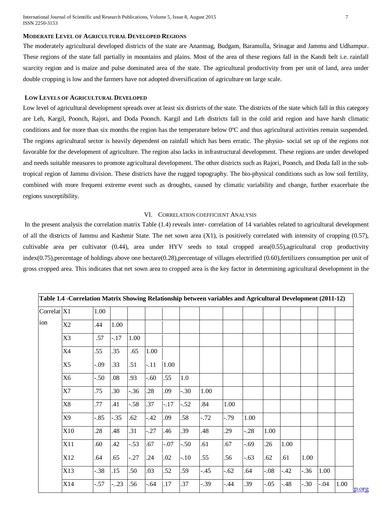## **MODERATE LEVEL OF AGRICULTURAL DEVELOPED REGIONS**

The moderately agricultural developed districts of the state are Anantnag, Budgam, Baramulla, Srinagar and Jammu and Udhampur. These regions of the state fall partially in mountains and plains. Most of the area of these regions fall in the Kandi belt i.e. rainfall scarcity region and is maize and pulse dominated area of the state. The agricultural productivity from per unit of land, area under double cropping is low and the farmers have not adopted diversification of agriculture on large scale.

## **LOW LEVELS OF AGRICULTURAL DEVELOPED**

Low level of agricultural development spreads over at least six districts of the state. The districts of the state which fall in this category are Leh, Kargil, Poonch, Rajori, and Doda Poonch. Kargil and Leh districts fall in the cold arid region and have harsh climatic conditions and for more than six months the region has the temperature below 0ºC and thus agricultural activities remain suspended. The regions agricultural sector is heavily dependent on rainfall which has been erratic. The physio- social set up of the regions not favorable for the development of agriculture. The region also lacks in infrastructural development. These regions are under developed and needs suitable measures to promote agricultural development. The other districts such as Rajori, Poonch, and Doda fall in the subtropical region of Jammu division. These districts have the rugged topography. The bio-physical conditions such as low soil fertility, combined with more frequent extreme event such as droughts, caused by climatic variability and change, further exacerbate the regions susceptibility.

### VI. CORRELATION COEFFICIENT ANALYSIS

In the present analysis the correlation matrix Table (1.4) reveals inter- correlation of 14 variables related to agricultural development of all the districts of Jammu and Kashmir State. The net sown area (X1), is positively correlated with intensity of cropping (0.57), cultivable area per cultivator (0.44), area under HYV seeds to total cropped area(0.55),agricultural crop productivity index(0.75),percentage of holdings above one hectare(0.28),percentage of villages electrified (0.60),fertilizers consumption per unit of gross cropped area. This indicates that net sown area to cropped area is the key factor in determining agricultural development in the

| Correlat <sub>X1</sub> |                | 1.00    |        |        |        |        |        |        |         |        |        |        |        |        |      |
|------------------------|----------------|---------|--------|--------|--------|--------|--------|--------|---------|--------|--------|--------|--------|--------|------|
| ion                    | X2             | .44     | 1.00   |        |        |        |        |        |         |        |        |        |        |        |      |
|                        | X <sub>3</sub> | .57     | $-17$  | 1.00   |        |        |        |        |         |        |        |        |        |        |      |
|                        | X4             | .55     | .35    | .65    | 1.00   |        |        |        |         |        |        |        |        |        |      |
|                        | X <sub>5</sub> | $-0.09$ | .33    | .51    | $-.11$ | 1.00   |        |        |         |        |        |        |        |        |      |
|                        | X <sub>6</sub> | $-.50$  | .08    | .93    | $-.60$ | .55    | 1.0    |        |         |        |        |        |        |        |      |
|                        | <b>X7</b>      | .75     | .30    | $-.36$ | .28    | .09    | $-.30$ | 1.00   |         |        |        |        |        |        |      |
|                        | X <sub>8</sub> | .77     | .41    | $-.58$ | .37    | $-.17$ | $-.52$ | .84    | 1.00    |        |        |        |        |        |      |
|                        | X9             | $-.85$  | $-.35$ | .62    | $-.42$ | .09    | .58    | $-.72$ | $-0.79$ | 1.00   |        |        |        |        |      |
|                        | X10            | .28     | .48    | .31    | $-.27$ | .46    | .39    | .48    | .29     | $-.28$ | 1.00   |        |        |        |      |
|                        | X11            | .60     | .42    | $-.53$ | .67    | $-.07$ | $-.50$ | .61    | .67     | $-.69$ | .26    | 1.00   |        |        |      |
|                        | X12            | .64     | .65    | $-.27$ | .24    | .02    | $-.10$ | .55    | .56     | $-.63$ | .62    | .61    | 1.00   |        |      |
|                        | X13            | $-.38$  | .15    | .50    | .03    | .52    | .59    | $-.45$ | $-.62$  | .64    | $-.08$ | $-.42$ | $-.36$ | 1.00   |      |
|                        | X14            | $-.57$  | $-.23$ | .56    | $-.64$ | .17    | .37    | $-.39$ | $-.44$  | .39    | $-.05$ | $-.48$ | $-.30$ | $-.04$ | 1.00 |

**Table 1.4 -Correlation Matrix Showing Relationship between variables and Agricultural Development (2011-12)**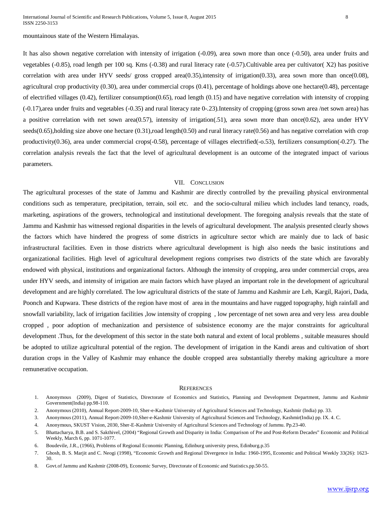It has also shown negative correlation with intensity of irrigation (-0.09), area sown more than once (-0.50), area under fruits and vegetables (-0.85), road length per 100 sq. Kms (-0.38) and rural literacy rate (-0.57).Cultivable area per cultivator( X2) has positive correlation with area under HYV seeds/ gross cropped area(0.35),intensity of irrigation(0.33), area sown more than once(0.08), agricultural crop productivity  $(0.30)$ , area under commercial crops  $(0.41)$ , percentage of holdings above one hectare $(0.48)$ , percentage of electrified villages (0.42), fertilizer consumption(0.65), road length (0.15) and have negative correlation with intensity of cropping (-0.17),area under fruits and vegetables (-0.35) and rural literacy rate 0-.23).Intensity of cropping (gross sown area /net sown area) has a positive correlation with net sown area(0.57), intensity of irrigation(.51), area sown more than once(0.62), area under HYV  $seeds(0.65)$ , holding size above one hectare  $(0.31)$ , road length $(0.50)$  and rural literacy rate $(0.56)$  and has negative correlation with crop productivity(0.36), area under commercial crops(-0.58), percentage of villages electrified(-o.53), fertilizers consumption(-0.27). The correlation analysis reveals the fact that the level of agricultural development is an outcome of the integrated impact of various parameters.

## VII. CONCLUSION

The agricultural processes of the state of Jammu and Kashmir are directly controlled by the prevailing physical environmental conditions such as temperature, precipitation, terrain, soil etc. and the socio-cultural milieu which includes land tenancy, roads, marketing, aspirations of the growers, technological and institutional development. The foregoing analysis reveals that the state of Jammu and Kashmir has witnessed regional disparities in the levels of agricultural development. The analysis presented clearly shows the factors which have hindered the progress of some districts in agriculture sector which are mainly due to lack of basic infrastructural facilities. Even in those districts where agricultural development is high also needs the basic institutions and organizational facilities. High level of agricultural development regions comprises two districts of the state which are favorably endowed with physical, institutions and organizational factors. Although the intensity of cropping, area under commercial crops, area under HYV seeds, and intensity of irrigation are main factors which have played an important role in the development of agricultural development and are highly correlated. The low agricultural districts of the state of Jammu and Kashmir are Leh, Kargil, Rajori, Dada, Poonch and Kupwara. These districts of the region have most of area in the mountains and have rugged topography, high rainfall and snowfall variability, lack of irrigation facilities ,low intensity of cropping , low percentage of net sown area and very less area double cropped , poor adoption of mechanization and persistence of subsistence economy are the major constraints for agricultural development .Thus, for the development of this sector in the state both natural and extent of local problems , suitable measures should be adopted to utilize agricultural potential of the region. The development of irrigation in the Kandi areas and cultivation of short duration crops in the Valley of Kashmir may enhance the double cropped area substantially thereby making agriculture a more remunerative occupation.

#### **REFERENCES**

- 1. Anonymous (2009), Digest of Statistics, Directorate of Economics and Statistics, Planning and Development Department, Jammu and Kashmir Government(India) pp.98-110.
- 2. Anonymous (2010), Annual Report-2009-10, Sher-e-Kashmir University of Agricultural Sciences and Technology, Kashmir (India) pp. 33.
- 3. Anonymous (2011), Annual Report-2009-10,Sher-e-Kashmir University of Agricultural Sciences and Technology, Kashmir(India) pp. IX. 4. C.
- 4. Anonymous, SKUST Vision, 2030, Sher-E-Kashmir University of Agricultural Sciences and Technology of Jammu. Pp.23-40.
- 5. Bhattacharya, B.B. and S. Sakthivel, (2004) "Regional Growth and Disparity in India: Comparison of Pre and Post-Reform Decades" Economic and Political Weekly, March 6, pp. 1071-1077.
- 6. Boudevile, J.R., (1966), Problems of Regional Economic Planning, Edinburg university press, Edinburg.p.35
- 7. Ghosh, B. S. Marjit and C. Neogi (1998), "Economic Growth and Regional Divergence in India: 1960-1995, Economic and Political Weekly 33(26): 1623- 30.
- 8. Govt.of Jammu and Kashmir (2008-09), Economic Survey, Directorate of Economic and Statistics.pp.50-55.